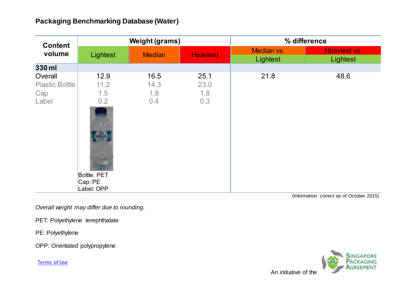| <b>Content</b><br>volume                         | <b>Weight (grams)</b>                                                                 |                            |                            | % difference           |                          |
|--------------------------------------------------|---------------------------------------------------------------------------------------|----------------------------|----------------------------|------------------------|--------------------------|
|                                                  | Lightest                                                                              | <b>Median</b>              | <b>Heaviest</b>            | Median vs.<br>Lightest | Heaviest vs.<br>Lightest |
| 330 ml                                           |                                                                                       |                            |                            |                        |                          |
| Overall<br><b>Plastic Bottle</b><br>Cap<br>Label | 12.9<br>11.2<br>1.5<br>0.2<br>림<br>ot.<br><b>Bottle: PET</b><br>Cap: PE<br>Label: OPP | 16.5<br>14.3<br>1.8<br>0.4 | 25.1<br>23.0<br>1.8<br>0.3 | 21.8                   | 48.6                     |

(Information correct as of October 2015)

*Overall weight may differ due to rounding.*

PET: Polyethylene terephthalate

PE: Polyethylene

OPP: Orientated polypropylene

[Terms of Use](http://www.nea.gov.sg/terms-of-use/)

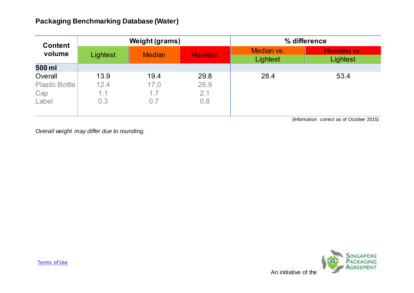| <b>Content</b><br>volume | <b>Weight (grams)</b> |               |                 | % difference           |                          |
|--------------------------|-----------------------|---------------|-----------------|------------------------|--------------------------|
|                          | Lightest              | <b>Median</b> | <b>Heaviest</b> | Median vs.<br>Lightest | Heaviest vs.<br>Lightest |
| 500 ml                   |                       |               |                 |                        |                          |
| Overall                  | 13.9                  | 19.4          | 29.8            | 28.4                   | 53.4                     |
| <b>Plastic Bottle</b>    | 12.4                  | 17.0          | 26.9            |                        |                          |
| Cap                      | 1.1                   | 1.7           | 2.1             |                        |                          |
| Label                    | 0.3                   | 0.7           | 0.8             |                        |                          |

(Information correct as of October 2015)

*Overall weight may differ due to rounding.*

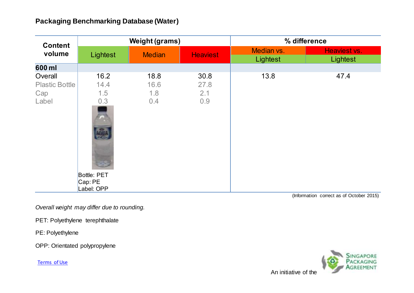| <b>Content</b><br>volume                         | <b>Weight (grams)</b>                                                                |                            |                            | % difference           |                          |
|--------------------------------------------------|--------------------------------------------------------------------------------------|----------------------------|----------------------------|------------------------|--------------------------|
|                                                  | Lightest                                                                             | <b>Median</b>              | <b>Heaviest</b>            | Median vs.<br>Lightest | Heaviest vs.<br>Lightest |
| 600 ml                                           |                                                                                      |                            |                            |                        |                          |
| Overall<br><b>Plastic Bottle</b><br>Cap<br>Label | 16.2<br>14.4<br>1.5<br>0.3<br>늣<br>âu<br><b>Bottle: PET</b><br>Cap: PE<br>Label: OPP | 18.8<br>16.6<br>1.8<br>0.4 | 30.8<br>27.8<br>2.1<br>0.9 | 13.8                   | 47.4                     |

(Information correct as of October 2015)

*Overall weight may differ due to rounding.*

PET: Polyethylene terephthalate

PE: Polyethylene

OPP: Orientated polypropylene

[Terms of Use](http://www.nea.gov.sg/terms-of-use/)